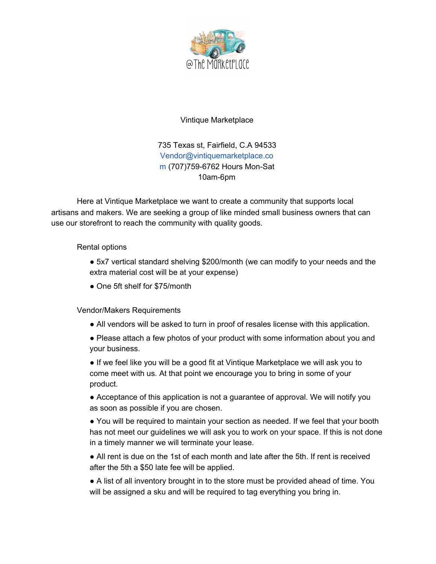

## Vintique Marketplace

735 Texas st, Fairfield, C.A 94533 Vendor@vintiquemarketplace.co m (707)759-6762 Hours Mon-Sat 10am-6pm

Here at Vintique Marketplace we want to create a community that supports local artisans and makers. We are seeking a group of like minded small business owners that can use our storefront to reach the community with quality goods.

## Rental options

- 5x7 vertical standard shelving \$200/month (we can modify to your needs and the extra material cost will be at your expense)
- One 5ft shelf for \$75/month

Vendor/Makers Requirements

- All vendors will be asked to turn in proof of resales license with this application.
- Please attach a few photos of your product with some information about you and your business.
- If we feel like you will be a good fit at Vintique Marketplace we will ask you to come meet with us. At that point we encourage you to bring in some of your product.
- Acceptance of this application is not a guarantee of approval. We will notify you as soon as possible if you are chosen.
- You will be required to maintain your section as needed. If we feel that your booth has not meet our guidelines we will ask you to work on your space. If this is not done in a timely manner we will terminate your lease.
- All rent is due on the 1st of each month and late after the 5th. If rent is received after the 5th a \$50 late fee will be applied.
- A list of all inventory brought in to the store must be provided ahead of time. You will be assigned a sku and will be required to tag everything you bring in.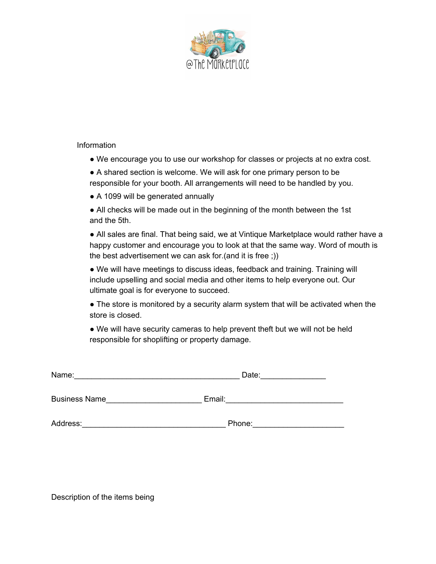

## Information

- We encourage you to use our workshop for classes or projects at no extra cost.
- A shared section is welcome. We will ask for one primary person to be responsible for your booth. All arrangements will need to be handled by you.
- A 1099 will be generated annually
- All checks will be made out in the beginning of the month between the 1st and the 5th.

• All sales are final. That being said, we at Vintique Marketplace would rather have a happy customer and encourage you to look at that the same way. Word of mouth is the best advertisement we can ask for.(and it is free ;))

● We will have meetings to discuss ideas, feedback and training. Training will include upselling and social media and other items to help everyone out. Our ultimate goal is for everyone to succeed.

• The store is monitored by a security alarm system that will be activated when the store is closed.

● We will have security cameras to help prevent theft but we will not be held responsible for shoplifting or property damage.

| Name:                | Date:  |  |  |
|----------------------|--------|--|--|
| <b>Business Name</b> | Email: |  |  |
| Address:             | Phone: |  |  |

Description of the items being